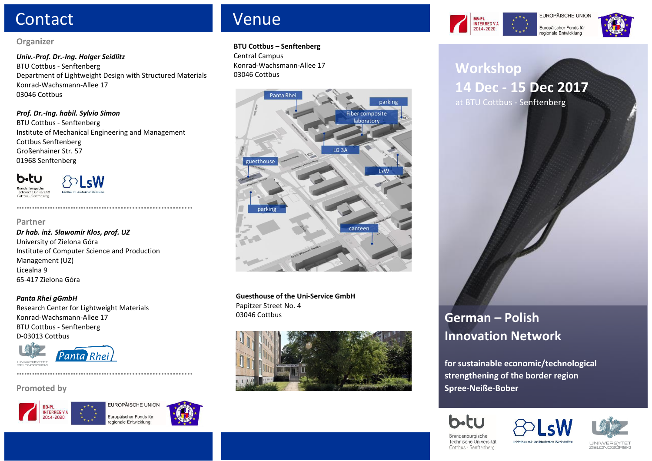# Contact Contact Contact Contact Contact Contact Contact Contact Contact Contact Contact Contact Contact Contact Contact Contact Contact Contact Contact Contact Contact Contact Contact Contact Contact Contact Contact Contac

### **Organizer**

*Univ.-Prof. Dr.-Ing. Holger Seidlitz* BTU Cottbus - Senftenberg Department of Lightweight Design with Structured Materials Konrad-Wachsmann-Allee 17 03046 Cottbus

## *Prof. Dr.-Ing. habil. Sylvio Simon*

 BTU Cottbus - Senftenberg Institute of Mechanical Engineering and Management Cottbus Senftenberg Großenhainer Str. 57 01968 Senftenberg

**……………………………….............................**



 $\Theta$  sm

**Partner**

### *Dr hab. inż. Sławomir Kłos, prof. UZ* University of Zielona Góra Institute of Computer Science and Production Management (UZ) Licealna 9 65-417 Zielona Góra

### *Panta Rhei gGmbH*

Research Center for Lightweight Materials Konrad-Wachsmann-Allee 17 BTU Cottbus - Senftenberg D-03013 Cottbus

**……………………………….............................**



## **Promoted by**





#### **BTU Cottbus – Senftenberg**

Central Campus Konrad-Wachsmann-Allee 17 03046 Cottbus



**Guesthouse of the Uni-Service GmbH** Papitzer Street No. 4 03046 Cottbus



# **Workshop 14 Dec - 15 Dec 2017** at BTU Cottbus - Senftenberg

**INTERREG V A** 

2014-2020



**German – Polish**

**for sustainable economic/technological strengthening of the border region Spree-Neiße-Bober**







Brandenburgische Technische Universität Cottbus - Senftenberg

Leichtbau mit strukturierten Werkstoffe

**LINIM/FRSYTE** ZIEL ONOGÓBS

EUROPÄISCHE UNIO Europäischer Fonds für regionale Entwicklung